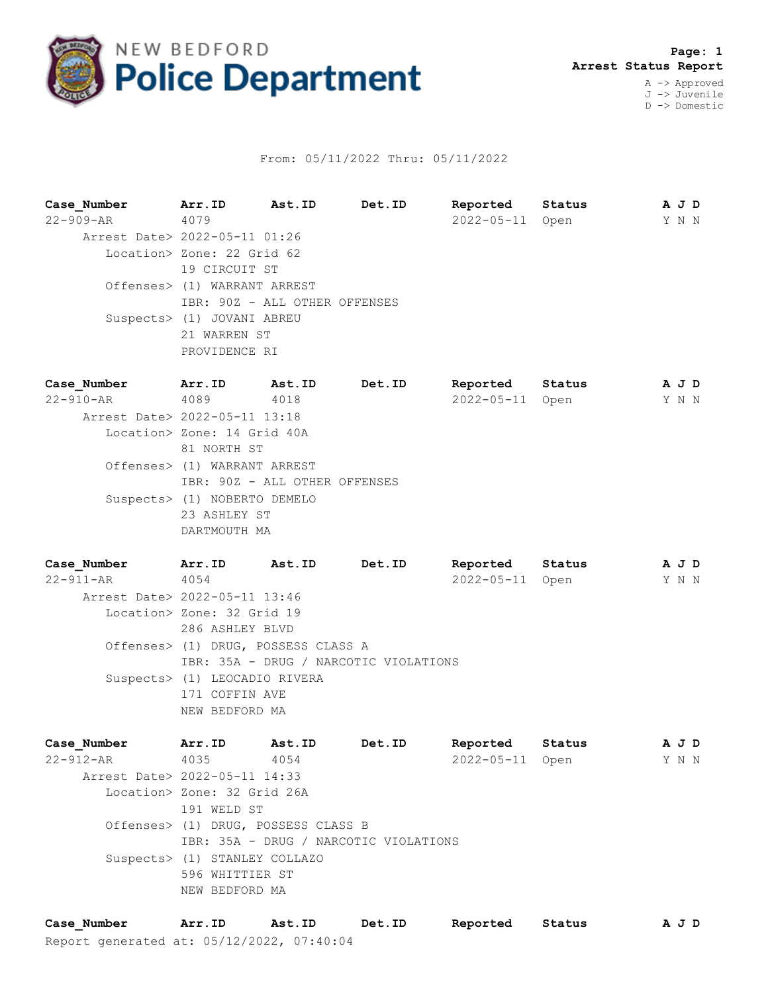

## From: 05/11/2022 Thru: 05/11/2022

**Case\_Number Arr.ID Ast.ID Det.ID Reported Status A J D** 22-909-AR 4079 2022-05-11 Open Y N N Arrest Date> 2022-05-11 01:26 Location> Zone: 22 Grid 62 19 CIRCUIT ST Offenses> (1) WARRANT ARREST IBR: 90Z - ALL OTHER OFFENSES Suspects> (1) JOVANI ABREU 21 WARREN ST PROVIDENCE RI **Case\_Number Arr.ID Ast.ID Det.ID Reported Status A J D** 22-910-AR 4089 4018 2022-05-11 Open Y N N Arrest Date> 2022-05-11 13:18 Location> Zone: 14 Grid 40A 81 NORTH ST Offenses> (1) WARRANT ARREST IBR: 90Z - ALL OTHER OFFENSES Suspects> (1) NOBERTO DEMELO

DARTMOUTH MA **Case\_Number Arr.ID Ast.ID Det.ID Reported Status A J D**

23 ASHLEY ST

22-911-AR 4054 2022-05-11 Open Y N N Arrest Date> 2022-05-11 13:46 Location> Zone: 32 Grid 19 286 ASHLEY BLVD Offenses> (1) DRUG, POSSESS CLASS A IBR: 35A - DRUG / NARCOTIC VIOLATIONS Suspects> (1) LEOCADIO RIVERA 171 COFFIN AVE NEW BEDFORD MA

**Case\_Number Arr.ID Ast.ID Det.ID Reported Status A J D** 22-912-AR 4035 4054 2022-05-11 Open Y N N Arrest Date> 2022-05-11 14:33 Location> Zone: 32 Grid 26A 191 WELD ST Offenses> (1) DRUG, POSSESS CLASS B IBR: 35A - DRUG / NARCOTIC VIOLATIONS Suspects> (1) STANLEY COLLAZO 596 WHITTIER ST NEW BEDFORD MA

Report generated at: 05/12/2022, 07:40:04 **Case\_Number Arr.ID Ast.ID Det.ID Reported Status A J D**